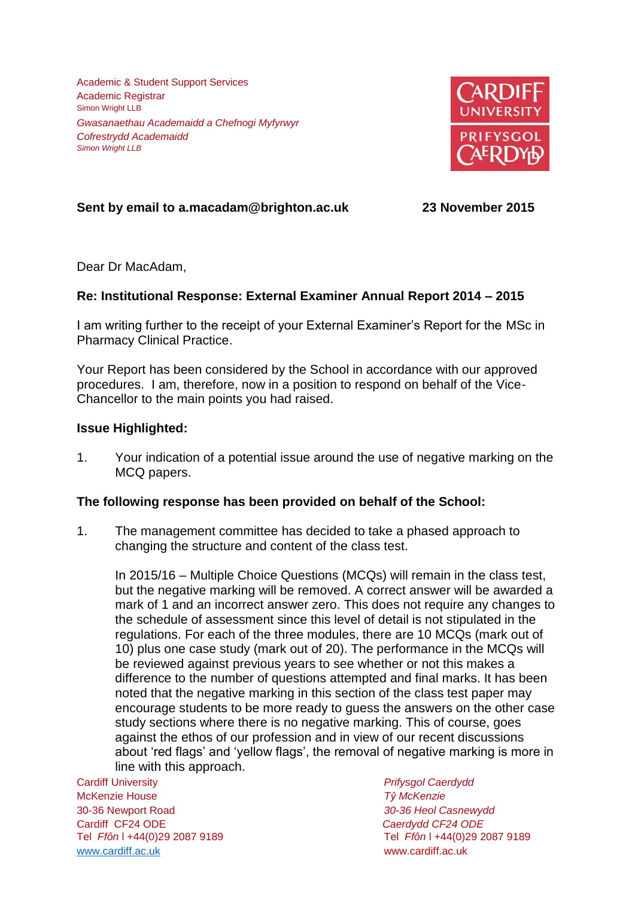Academic & Student Support Services Academic Registrar Simon Wright LLB *Gwasanaethau Academaidd a Chefnogi Myfyrwyr Cofrestrydd Academaidd Simon Wright LLB*



# **Sent by email to a.macadam@brighton.ac.uk 23 November 2015**

Dear Dr MacAdam,

## **Re: Institutional Response: External Examiner Annual Report 2014 – 2015**

I am writing further to the receipt of your External Examiner's Report for the MSc in Pharmacy Clinical Practice.

Your Report has been considered by the School in accordance with our approved procedures. I am, therefore, now in a position to respond on behalf of the Vice-Chancellor to the main points you had raised.

#### **Issue Highlighted:**

1. Your indication of a potential issue around the use of negative marking on the MCQ papers.

#### **The following response has been provided on behalf of the School:**

1. The management committee has decided to take a phased approach to changing the structure and content of the class test.

In 2015/16 – Multiple Choice Questions (MCQs) will remain in the class test, but the negative marking will be removed. A correct answer will be awarded a mark of 1 and an incorrect answer zero. This does not require any changes to the schedule of assessment since this level of detail is not stipulated in the regulations. For each of the three modules, there are 10 MCQs (mark out of 10) plus one case study (mark out of 20). The performance in the MCQs will be reviewed against previous years to see whether or not this makes a difference to the number of questions attempted and final marks. It has been noted that the negative marking in this section of the class test paper may encourage students to be more ready to guess the answers on the other case study sections where there is no negative marking. This of course, goes against the ethos of our profession and in view of our recent discussions about 'red flags' and 'yellow flags', the removal of negative marking is more in line with this approach.

Cardiff University *Prifysgol Caerdydd* McKenzie House *Tŷ McKenzie* 30-36 Newport Road *30-36 Heol Casnewydd* Cardiff CF24 ODE *Caerdydd CF24 ODE* [www.cardiff.ac.uk](http://www.cardiff.ac.uk/) www.cardiff.ac.uk

Tel *Ffôn* l +44(0)29 2087 9189 Tel *Ffôn* l +44(0)29 2087 9189